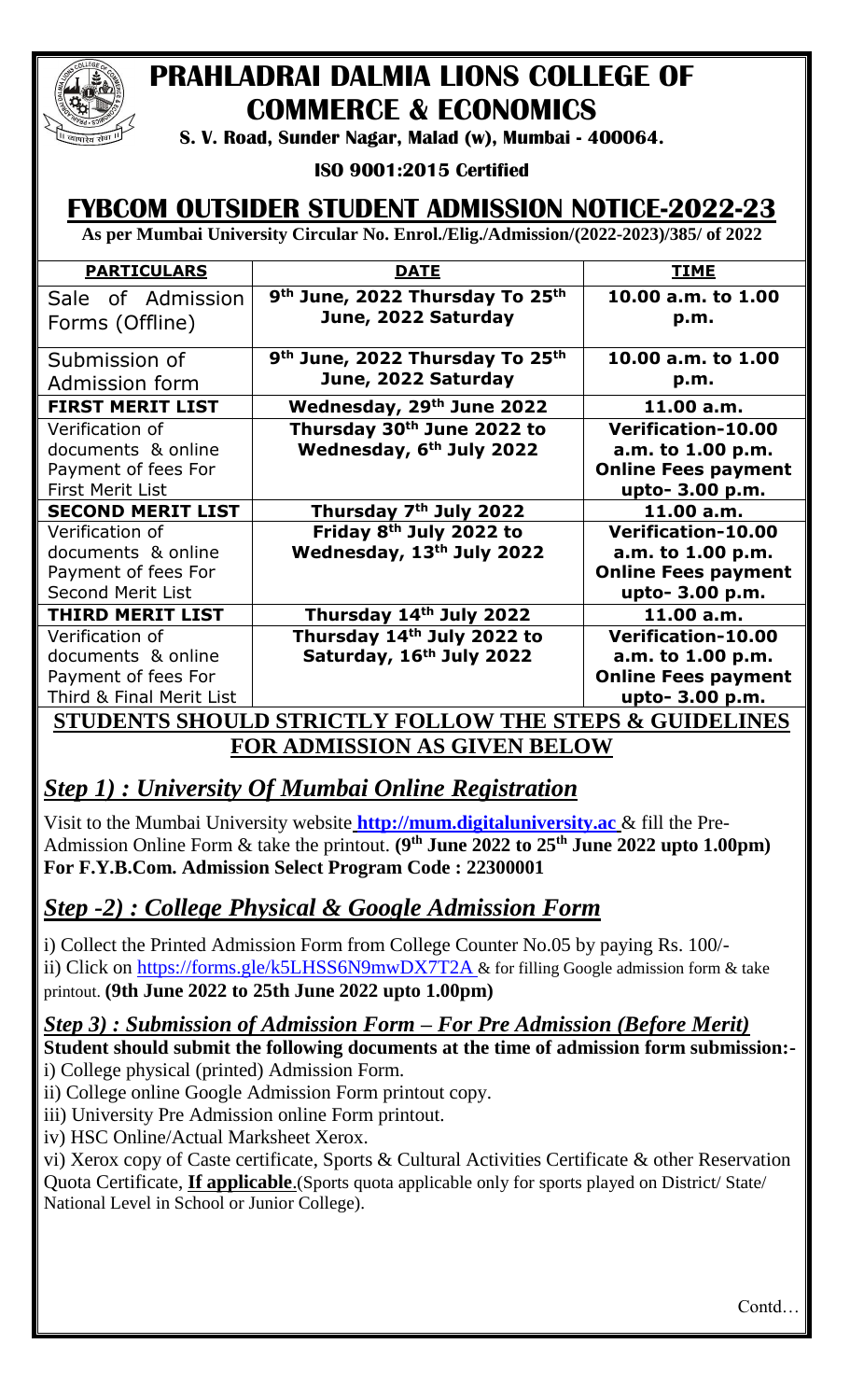

# **PRAHLADRAI DALMIA LIONS COLLEGE OF COMMERCE & ECONOMICS**

**S. V. Road, Sunder Nagar, Malad (w), Mumbai - 400064.**

**ISO 9001:2015 Certified** 

## **FYBCOM OUTSIDER STUDENT ADMISSION NOTICE-2022-23**

**As per Mumbai University Circular No. Enrol./Elig./Admission/(2022-2023)/385/ of 2022**

| <b>PARTICULARS</b>                                     | <u>DATE</u>                                                                    | <b>TIME</b>                |  |  |
|--------------------------------------------------------|--------------------------------------------------------------------------------|----------------------------|--|--|
| Sale of Admission<br>Forms (Offline)                   | 9 <sup>th</sup> June, 2022 Thursday To 25 <sup>th</sup><br>June, 2022 Saturday | 10.00 a.m. to 1.00<br>p.m. |  |  |
|                                                        |                                                                                |                            |  |  |
| Submission of                                          | 9 <sup>th</sup> June, 2022 Thursday To 25 <sup>th</sup>                        | 10.00 a.m. to 1.00         |  |  |
| Admission form                                         | June, 2022 Saturday                                                            | p.m.                       |  |  |
| <b>FIRST MERIT LIST</b>                                | Wednesday, 29th June 2022                                                      | 11.00 a.m.                 |  |  |
| Verification of                                        | Thursday 30 <sup>th</sup> June 2022 to                                         | <b>Verification-10.00</b>  |  |  |
| documents & online                                     | Wednesday, 6 <sup>th</sup> July 2022                                           | a.m. to 1.00 p.m.          |  |  |
| Payment of fees For                                    |                                                                                | <b>Online Fees payment</b> |  |  |
| <b>First Merit List</b>                                |                                                                                | upto- 3.00 p.m.            |  |  |
| <b>SECOND MERIT LIST</b>                               | Thursday 7 <sup>th</sup> July 2022                                             | 11.00 a.m.                 |  |  |
| Verification of                                        | Friday 8 <sup>th</sup> July 2022 to                                            | <b>Verification-10.00</b>  |  |  |
| documents & online                                     | Wednesday, 13th July 2022                                                      | a.m. to 1.00 p.m.          |  |  |
| Payment of fees For                                    |                                                                                | <b>Online Fees payment</b> |  |  |
| <b>Second Merit List</b>                               |                                                                                | upto- 3.00 p.m.            |  |  |
| <b>THIRD MERIT LIST</b>                                | Thursday 14th July 2022                                                        | 11.00 a.m.                 |  |  |
| Verification of                                        | Thursday 14 <sup>th</sup> July 2022 to                                         | <b>Verification-10.00</b>  |  |  |
| documents & online                                     | Saturday, 16th July 2022                                                       | a.m. to 1.00 p.m.          |  |  |
| Payment of fees For                                    |                                                                                | <b>Online Fees payment</b> |  |  |
| Third & Final Merit List                               |                                                                                | upto- 3.00 p.m.            |  |  |
| STUDENTS SHOULD STRICTLY FOLLOW THE STEPS & GUIDELINES |                                                                                |                            |  |  |
| FOR ADMISSION AS GIVEN BELOW                           |                                                                                |                            |  |  |

## *Step 1) : University Of Mumbai Online Registration*

Visit to the Mumbai University website **[http://mum.digitaluniversity.ac](http://mum.digitaluniversity.ac/)** & fill the Pre-Admission Online Form & take the printout. **(9 th June 2022 to 25th June 2022 upto 1.00pm) For F.Y.B.Com. Admission Select Program Code : 22300001** 

## *Step -2) : College Physical & Google Admission Form*

i) Collect the Printed Admission Form from College Counter No.05 by paying Rs. 100/ ii) Click on<https://forms.gle/k5LHSS6N9mwDX7T2A> & for filling Google admission form & take printout. **(9th June 2022 to 25th June 2022 upto 1.00pm)**

### *Step 3) : Submission of Admission Form – For Pre Admission (Before Merit)*

**Student should submit the following documents at the time of admission form submission:** i) College physical (printed) Admission Form.

ii) College online Google Admission Form printout copy.

iii) University Pre Admission online Form printout.

iv) HSC Online/Actual Marksheet Xerox.

vi) Xerox copy of Caste certificate, Sports & Cultural Activities Certificate & other Reservation Quota Certificate, **If applicable**.(Sports quota applicable only for sports played on District/ State/ National Level in School or Junior College).